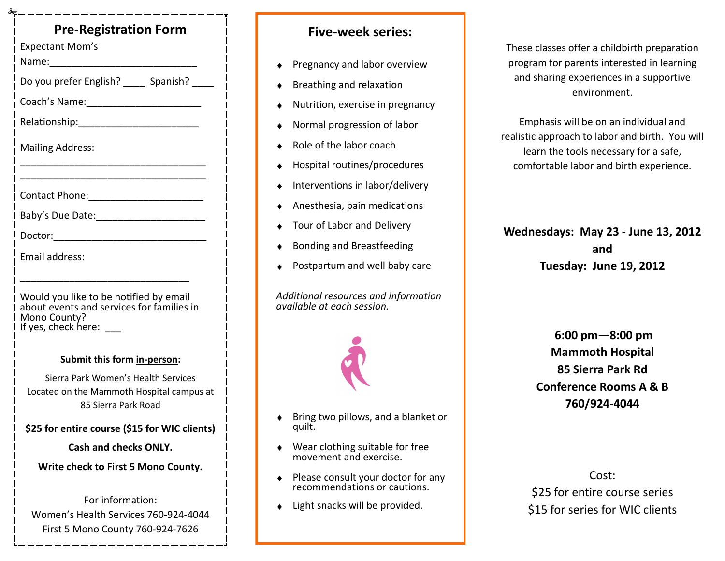# **Pre-Registration Form**

Expectant Mom's

Name:\_\_\_\_\_\_\_\_\_\_\_\_\_\_\_\_\_\_\_\_\_\_\_\_\_\_\_

Do you prefer English? \_\_\_\_\_ Spanish? \_\_\_\_\_

\_\_\_\_\_\_\_\_\_\_\_\_\_\_\_\_\_\_\_\_\_\_\_\_\_\_\_\_\_\_\_\_\_\_

Coach's Name:\_\_\_\_\_\_\_\_\_\_\_\_\_\_\_\_\_\_\_\_\_

Relationship:\_\_\_\_\_\_\_\_\_\_\_\_\_\_\_\_\_\_\_\_\_\_

Mailing Address:

\_\_\_\_\_\_\_\_\_\_\_\_\_\_\_\_\_\_\_\_\_\_\_\_\_\_\_\_\_\_\_\_\_\_

Contact Phone:\_\_\_\_\_\_\_\_\_\_\_\_\_\_\_\_\_\_\_\_\_

Baby's Due Date:\_\_\_\_\_\_\_\_\_\_\_\_\_\_\_\_\_\_\_\_

Doctor:\_\_\_\_\_\_\_\_\_\_\_\_\_\_\_\_\_\_\_\_\_\_\_\_\_\_\_\_

Email address:

Would you like to be notified by email about events and services for families in Mono County? If yes, check here:

\_\_\_\_\_\_\_\_\_\_\_\_\_\_\_\_\_\_\_\_\_\_\_\_\_\_\_\_\_\_\_

### **Submit this form in-person:**

Sierra Park Women's Health Services Located on the Mammoth Hospital campus at 85 Sierra Park Road

**\$25 for entire course (\$15 for WIC clients)**

**Cash and checks ONLY.**

**Write check to First 5 Mono County.**

For information: Women's Health Services 760-924-4044 First 5 Mono County 760-924-7626

## **Five-week series:**

- Pregnancy and labor overview
- Breathing and relaxation
- Nutrition, exercise in pregnancy
- Normal progression of labor
- Role of the labor coach
- Hospital routines/procedures
- Interventions in labor/delivery
- Anesthesia, pain medications
- Tour of Labor and Delivery
- Bonding and Breastfeeding
- Postpartum and well baby care

*Additional resources and information available at each session.* 



- Bring two pillows, and a blanket or  $\blacklozenge$ quilt.
- Wear clothing suitable for free  $\bullet$ movement and exercise.
- Please consult your doctor for any  $\bullet$ recommendations or cautions.
- ◆ Light snacks will be provided.

These classes offer a childbirth preparation program for parents interested in learning and sharing experiences in a supportive environment.

Emphasis will be on an individual and realistic approach to labor and birth. You will learn the tools necessary for a safe, comfortable labor and birth experience.

**Wednesdays: May 23 - June 13, 2012 and Tuesday: June 19, 2012** 

> **6:00 pm—8:00 pm Mammoth Hospital 85 Sierra Park Rd Conference Rooms A & B 760/924-4044**

Cost: \$25 for entire course series \$15 for series for WIC clients